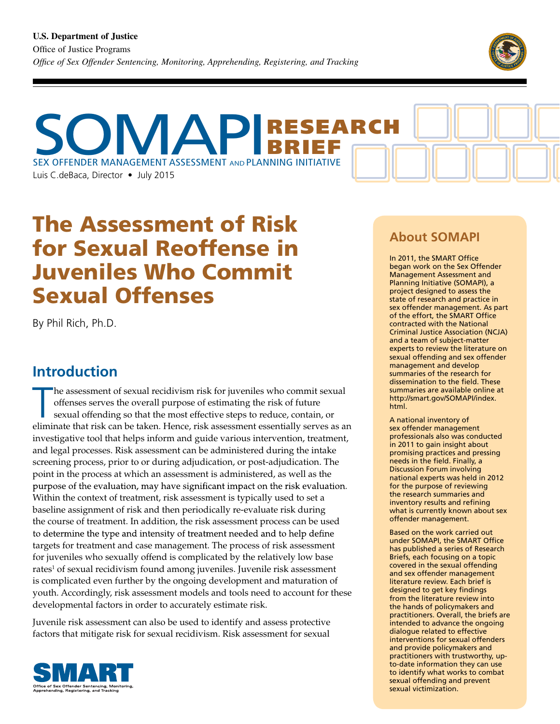

SEX OFFENDER MANAGEMENT ASSESSMENT AND PLANNING INITIATIVE Luis C.deBaca, Director • July 2015 MAPI RGH. BRIEF

# The Assessment of Risk for Sexual Reoffense in Juveniles Who Commit Sexual Offenses

By Phil Rich, Ph.D.

## **Introduction**

The assessment of sexual recidivism risk for juveniles who commit sexual offenses serves the overall purpose of estimating the risk of future sexual offending so that the most effective steps to reduce, contain, or elimina he assessment of sexual recidivism risk for juveniles who commit sexual offenses serves the overall purpose of estimating the risk of future sexual offending so that the most effective steps to reduce, contain, or investigative tool that helps inform and guide various intervention, treatment, and legal processes. Risk assessment can be administered during the intake screening process, prior to or during adjudication, or post-adjudication. The point in the process at which an assessment is administered, as well as the purpose of the evaluation, may have significant impact on the risk evaluation. Within the context of treatment, risk assessment is typically used to set a baseline assignment of risk and then periodically re-evaluate risk during the course of treatment. In addition, the risk assessment process can be used to determine the type and intensity of treatment needed and to help define targets for treatment and case management. The process of risk assessment for juveniles who sexually offend is complicated by the relatively low base rates<sup>1</sup> of sexual recidivism found among juveniles. Juvenile risk assessment is complicated even further by the ongoing development and maturation of youth. Accordingly, risk assessment models and tools need to account for these developmental factors in order to accurately estimate risk.

Juvenile risk assessment can also be used to identify and assess protective factors that mitigate risk for sexual recidivism. Risk assessment for sexual



## **About SOMAPI**

In 2011, the SMART Office began work on the Sex Offender Management Assessment and Planning Initiative (SOMAPI), a project designed to assess the state of research and practice in sex offender management. As part of the effort, the SMART Office contracted with the National Criminal Justice Association (NCJA) and a team of subject-matter experts to review the literature on sexual offending and sex offender management and develop summaries of the research for dissemination to the field. These summaries are available online at http://smart.gov/SOMAPI/index. html.

A national inventory of sex offender management professionals also was conducted in 2011 to gain insight about promising practices and pressing needs in the field. Finally, a Discussion Forum involving national experts was held in 2012 for the purpose of reviewing the research summaries and inventory results and refining what is currently known about sex offender management.

Based on the work carried out under SOMAPI, the SMART Office has published a series of Research Briefs, each focusing on a topic covered in the sexual offending and sex offender management literature review. Each brief is designed to get key findings from the literature review into the hands of policymakers and practitioners. Overall, the briefs are intended to advance the ongoing dialogue related to effective interventions for sexual offenders and provide policymakers and practitioners with trustworthy, upto-date information they can use to identify what works to combat sexual offending and prevent sexual victimization.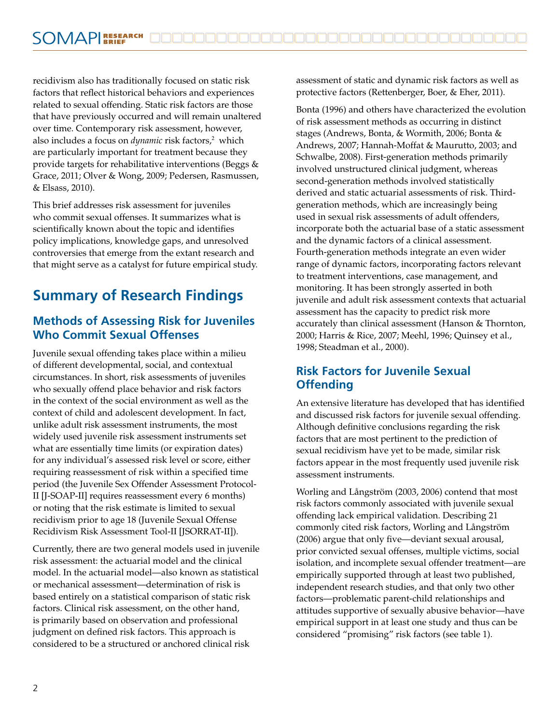recidivism also has traditionally focused on static risk factors that reflect historical behaviors and experiences related to sexual offending. Static risk factors are those that have previously occurred and will remain unaltered over time. Contemporary risk assessment, however, also includes a focus on *dynamic* risk factors,<sup>2</sup> which are particularly important for treatment because they provide targets for rehabilitative interventions (Beggs & Grace, 2011; Olver & Wong, 2009; Pedersen, Rasmussen, & Elsass, 2010).

This brief addresses risk assessment for juveniles who commit sexual offenses. It summarizes what is scientifically known about the topic and identifies policy implications, knowledge gaps, and unresolved controversies that emerge from the extant research and that might serve as a catalyst for future empirical study.

# **Summary of Research Findings**

#### **Methods of Assessing Risk for Juveniles Who Commit Sexual Offenses**

Juvenile sexual offending takes place within a milieu of different developmental, social, and contextual circumstances. In short, risk assessments of juveniles who sexually offend place behavior and risk factors in the context of the social environment as well as the context of child and adolescent development. In fact, unlike adult risk assessment instruments, the most widely used juvenile risk assessment instruments set what are essentially time limits (or expiration dates) for any individual's assessed risk level or score, either requiring reassessment of risk within a specified time period (the Juvenile Sex Offender Assessment Protocol-II [J-SOAP-II] requires reassessment every 6 months) or noting that the risk estimate is limited to sexual recidivism prior to age 18 (Juvenile Sexual Offense Recidivism Risk Assessment Tool-II [JSORRAT-II]).

Currently, there are two general models used in juvenile risk assessment: the actuarial model and the clinical model. In the actuarial model—also known as statistical or mechanical assessment—determination of risk is based entirely on a statistical comparison of static risk factors. Clinical risk assessment, on the other hand, is primarily based on observation and professional judgment on defined risk factors. This approach is considered to be a structured or anchored clinical risk

assessment of static and dynamic risk factors as well as protective factors (Rettenberger, Boer, & Eher, 2011).

Bonta (1996) and others have characterized the evolution of risk assessment methods as occurring in distinct stages (Andrews, Bonta, & Wormith, 2006; Bonta & Andrews, 2007; Hannah-Moffat & Maurutto, 2003; and Schwalbe, 2008). First-generation methods primarily involved unstructured clinical judgment, whereas second-generation methods involved statistically derived and static actuarial assessments of risk. Thirdgeneration methods, which are increasingly being used in sexual risk assessments of adult offenders, incorporate both the actuarial base of a static assessment and the dynamic factors of a clinical assessment. Fourth-generation methods integrate an even wider range of dynamic factors, incorporating factors relevant to treatment interventions, case management, and monitoring. It has been strongly asserted in both juvenile and adult risk assessment contexts that actuarial assessment has the capacity to predict risk more accurately than clinical assessment (Hanson & Thornton, 2000; Harris & Rice, 2007; Meehl, 1996; Quinsey et al., 1998; Steadman et al., 2000).

### **Risk Factors for Juvenile Sexual Offending**

An extensive literature has developed that has identified and discussed risk factors for juvenile sexual offending. Although definitive conclusions regarding the risk factors that are most pertinent to the prediction of sexual recidivism have yet to be made, similar risk factors appear in the most frequently used juvenile risk assessment instruments.

Worling and Långström (2003, 2006) contend that most risk factors commonly associated with juvenile sexual offending lack empirical validation. Describing 21 commonly cited risk factors, Worling and Långström (2006) argue that only five—deviant sexual arousal, prior convicted sexual offenses, multiple victims, social isolation, and incomplete sexual offender treatment—are empirically supported through at least two published, independent research studies, and that only two other factors—problematic parent-child relationships and attitudes supportive of sexually abusive behavior—have empirical support in at least one study and thus can be considered "promising" risk factors (see table 1).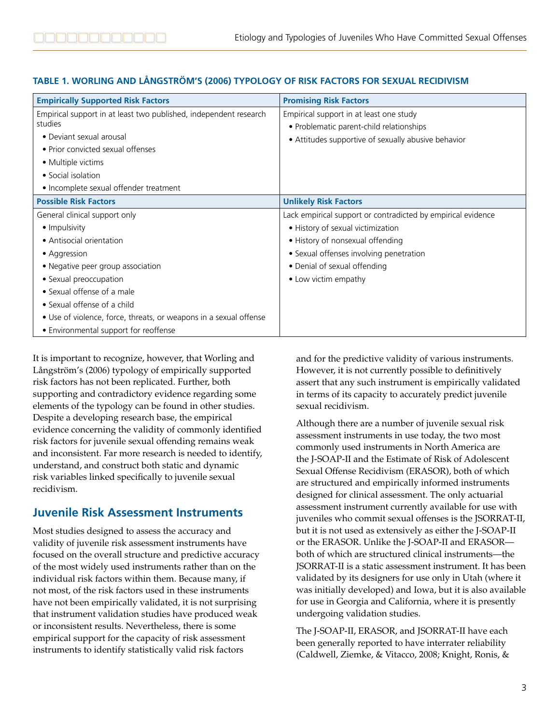#### **TABLE 1. WORLING AND LÅNGSTRÖM'S (2006) TYPOLOGY OF RISK FACTORS FOR SEXUAL RECIDIVISM**

| <b>Empirically Supported Risk Factors</b>                         | <b>Promising Risk Factors</b>                                |
|-------------------------------------------------------------------|--------------------------------------------------------------|
| Empirical support in at least two published, independent research | Empirical support in at least one study                      |
| studies                                                           | • Problematic parent-child relationships                     |
| • Deviant sexual arousal                                          | • Attitudes supportive of sexually abusive behavior          |
| • Prior convicted sexual offenses                                 |                                                              |
| • Multiple victims                                                |                                                              |
| • Social isolation                                                |                                                              |
| • Incomplete sexual offender treatment                            |                                                              |
| <b>Possible Risk Factors</b>                                      | <b>Unlikely Risk Factors</b>                                 |
| General clinical support only                                     | Lack empirical support or contradicted by empirical evidence |
| • Impulsivity                                                     | • History of sexual victimization                            |
| • Antisocial orientation                                          | • History of nonsexual offending                             |
| • Aggression                                                      | • Sexual offenses involving penetration                      |
| • Negative peer group association                                 | • Denial of sexual offending                                 |
| • Sexual preoccupation                                            | • Low victim empathy                                         |
| • Sexual offense of a male                                        |                                                              |
| • Sexual offense of a child                                       |                                                              |
| • Use of violence, force, threats, or weapons in a sexual offense |                                                              |
| • Environmental support for reoffense                             |                                                              |

It is important to recognize, however, that Worling and Långström's (2006) typology of empirically supported risk factors has not been replicated. Further, both supporting and contradictory evidence regarding some elements of the typology can be found in other studies. Despite a developing research base, the empirical evidence concerning the validity of commonly identified risk factors for juvenile sexual offending remains weak and inconsistent. Far more research is needed to identify, understand, and construct both static and dynamic risk variables linked specifically to juvenile sexual recidivism.

### **Juvenile Risk Assessment Instruments**

Most studies designed to assess the accuracy and validity of juvenile risk assessment instruments have focused on the overall structure and predictive accuracy of the most widely used instruments rather than on the individual risk factors within them. Because many, if not most, of the risk factors used in these instruments have not been empirically validated, it is not surprising that instrument validation studies have produced weak or inconsistent results. Nevertheless, there is some empirical support for the capacity of risk assessment instruments to identify statistically valid risk factors

and for the predictive validity of various instruments. However, it is not currently possible to definitively assert that any such instrument is empirically validated in terms of its capacity to accurately predict juvenile sexual recidivism.

Although there are a number of juvenile sexual risk assessment instruments in use today, the two most commonly used instruments in North America are the J-SOAP-II and the Estimate of Risk of Adolescent Sexual Offense Recidivism (ERASOR), both of which are structured and empirically informed instruments designed for clinical assessment. The only actuarial assessment instrument currently available for use with juveniles who commit sexual offenses is the JSORRAT-II, but it is not used as extensively as either the J-SOAP-II or the ERASOR. Unlike the J-SOAP-II and ERASOR both of which are structured clinical instruments—the JSORRAT-II is a static assessment instrument. It has been validated by its designers for use only in Utah (where it was initially developed) and Iowa, but it is also available for use in Georgia and California, where it is presently undergoing validation studies.

The J-SOAP-II, ERASOR, and JSORRAT-II have each been generally reported to have interrater reliability (Caldwell, Ziemke, & Vitacco, 2008; Knight, Ronis, &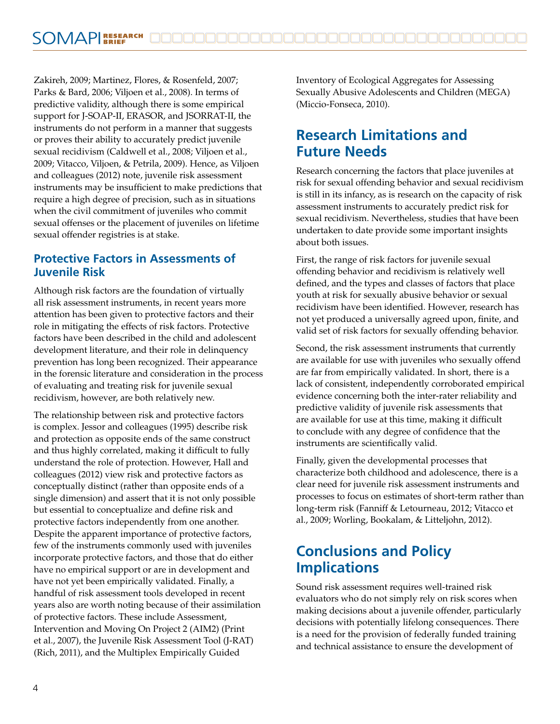Zakireh, 2009; Martinez, Flores, & Rosenfeld, 2007; Parks & Bard, 2006; Viljoen et al., 2008). In terms of predictive validity, although there is some empirical support for J-SOAP-II, ERASOR, and JSORRAT-II, the instruments do not perform in a manner that suggests or proves their ability to accurately predict juvenile sexual recidivism (Caldwell et al., 2008; Viljoen et al., 2009; Vitacco, Viljoen, & Petrila, 2009). Hence, as Viljoen and colleagues (2012) note, juvenile risk assessment instruments may be insufficient to make predictions that require a high degree of precision, such as in situations when the civil commitment of juveniles who commit sexual offenses or the placement of juveniles on lifetime sexual offender registries is at stake.

#### **Protective Factors in Assessments of Juvenile Risk**

Although risk factors are the foundation of virtually all risk assessment instruments, in recent years more attention has been given to protective factors and their role in mitigating the effects of risk factors. Protective factors have been described in the child and adolescent development literature, and their role in delinquency prevention has long been recognized. Their appearance in the forensic literature and consideration in the process of evaluating and treating risk for juvenile sexual recidivism, however, are both relatively new.

The relationship between risk and protective factors is complex. Jessor and colleagues (1995) describe risk and protection as opposite ends of the same construct and thus highly correlated, making it difficult to fully understand the role of protection. However, Hall and colleagues (2012) view risk and protective factors as conceptually distinct (rather than opposite ends of a single dimension) and assert that it is not only possible but essential to conceptualize and define risk and protective factors independently from one another. Despite the apparent importance of protective factors, few of the instruments commonly used with juveniles incorporate protective factors, and those that do either have no empirical support or are in development and have not yet been empirically validated. Finally, a handful of risk assessment tools developed in recent years also are worth noting because of their assimilation of protective factors. These include Assessment, Intervention and Moving On Project 2 (AIM2) (Print et al., 2007), the Juvenile Risk Assessment Tool (J-RAT) (Rich, 2011), and the Multiplex Empirically Guided

Inventory of Ecological Aggregates for Assessing Sexually Abusive Adolescents and Children (MEGA) (Miccio-Fonseca, 2010).

## **Research Limitations and Future Needs**

Research concerning the factors that place juveniles at risk for sexual offending behavior and sexual recidivism is still in its infancy, as is research on the capacity of risk assessment instruments to accurately predict risk for sexual recidivism. Nevertheless, studies that have been undertaken to date provide some important insights about both issues.

First, the range of risk factors for juvenile sexual offending behavior and recidivism is relatively well defined, and the types and classes of factors that place youth at risk for sexually abusive behavior or sexual recidivism have been identified. However, research has not yet produced a universally agreed upon, finite, and valid set of risk factors for sexually offending behavior.

Second, the risk assessment instruments that currently are available for use with juveniles who sexually offend are far from empirically validated. In short, there is a lack of consistent, independently corroborated empirical evidence concerning both the inter-rater reliability and predictive validity of juvenile risk assessments that are available for use at this time, making it difficult to conclude with any degree of confidence that the instruments are scientifically valid.

Finally, given the developmental processes that characterize both childhood and adolescence, there is a clear need for juvenile risk assessment instruments and processes to focus on estimates of short-term rather than long-term risk (Fanniff & Letourneau, 2012; Vitacco et al., 2009; Worling, Bookalam, & Litteljohn, 2012).

## **Conclusions and Policy Implications**

Sound risk assessment requires well-trained risk evaluators who do not simply rely on risk scores when making decisions about a juvenile offender, particularly decisions with potentially lifelong consequences. There is a need for the provision of federally funded training and technical assistance to ensure the development of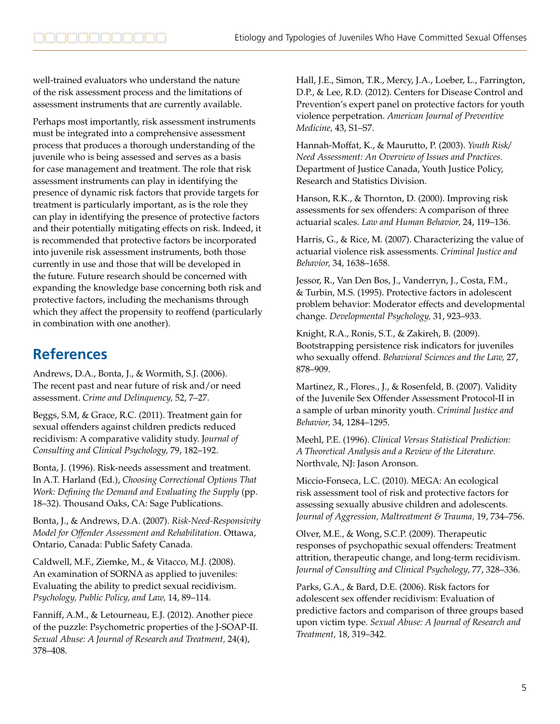well-trained evaluators who understand the nature of the risk assessment process and the limitations of assessment instruments that are currently available.

Perhaps most importantly, risk assessment instruments must be integrated into a comprehensive assessment process that produces a thorough understanding of the juvenile who is being assessed and serves as a basis for case management and treatment. The role that risk assessment instruments can play in identifying the presence of dynamic risk factors that provide targets for treatment is particularly important, as is the role they can play in identifying the presence of protective factors and their potentially mitigating effects on risk. Indeed, it is recommended that protective factors be incorporated into juvenile risk assessment instruments, both those currently in use and those that will be developed in the future. Future research should be concerned with expanding the knowledge base concerning both risk and protective factors, including the mechanisms through which they affect the propensity to reoffend (particularly in combination with one another).

## **References**

Andrews, D.A., Bonta, J., & Wormith, S.J. (2006). The recent past and near future of risk and/or need assessment. *Crime and Delinquency,* 52, 7–27.

Beggs, S.M, & Grace, R.C. (2011). Treatment gain for sexual offenders against children predicts reduced recidivism: A comparative validity study. J*ournal of Consulting and Clinical Psychology,* 79, 182–192.

Bonta, J. (1996). Risk-needs assessment and treatment. In A.T. Harland (Ed.), *Choosing Correctional Options That Work: Defining the Demand and Evaluating the Supply* (pp. 18–32). Thousand Oaks, CA: Sage Publications.

Bonta, J., & Andrews, D.A. (2007). *Risk-Need-Responsivity Model for Offender Assessment and Rehabilitation.* Ottawa, Ontario, Canada: Public Safety Canada.

Caldwell, M.F., Ziemke, M., & Vitacco, M.J. (2008). An examination of SORNA as applied to juveniles: Evaluating the ability to predict sexual recidivism. *Psychology, Public Policy, and Law,* 14, 89–114.

Fanniff, A.M., & Letourneau, E.J. (2012). Another piece of the puzzle: Psychometric properties of the J-SOAP-II. *Sexual Abuse: A Journal of Research and Treatment,* 24(4), 378–408.

Hall, J.E., Simon, T.R., Mercy, J.A., Loeber, L., Farrington, D.P., & Lee, R.D. (2012). Centers for Disease Control and Prevention's expert panel on protective factors for youth violence perpetration. *American Journal of Preventive Medicine,* 43, S1–S7.

Hannah-Moffat, K., & Maurutto, P. (2003). *Youth Risk/ Need Assessment: An Overview of Issues and Practices.*  Department of Justice Canada, Youth Justice Policy, Research and Statistics Division.

Hanson, R.K., & Thornton, D. (2000). Improving risk assessments for sex offenders: A comparison of three actuarial scales. *Law and Human Behavior,* 24, 119–136.

Harris, G., & Rice, M. (2007). Characterizing the value of actuarial violence risk assessments. *Criminal Justice and Behavior,* 34, 1638–1658.

Jessor, R., Van Den Bos, J., Vanderryn, J., Costa, F.M., & Turbin, M.S. (1995). Protective factors in adolescent problem behavior: Moderator effects and developmental change. *Developmental Psychology,* 31, 923–933.

Knight, R.A., Ronis, S.T., & Zakireh, B. (2009). Bootstrapping persistence risk indicators for juveniles who sexually offend. *Behavioral Sciences and the Law,* 27, 878–909.

Martinez, R., Flores., J., & Rosenfeld, B. (2007). Validity of the Juvenile Sex Offender Assessment Protocol-II in a sample of urban minority youth. *Criminal Justice and Behavior,* 34, 1284–1295.

Meehl, P.E. (1996). *Clinical Versus Statistical Prediction: A Theoretical Analysis and a Review of the Literature.*  Northvale, NJ: Jason Aronson.

Miccio-Fonseca, L.C. (2010). MEGA: An ecological risk assessment tool of risk and protective factors for assessing sexually abusive children and adolescents. *Journal of Aggression, Maltreatment & Trauma,* 19, 734–756.

Olver, M.E., & Wong, S.C.P. (2009). Therapeutic responses of psychopathic sexual offenders: Treatment attrition, therapeutic change, and long-term recidivism. *Journal of Consulting and Clinical Psychology,* 77, 328–336.

Parks, G.A., & Bard, D.E. (2006). Risk factors for adolescent sex offender recidivism: Evaluation of predictive factors and comparison of three groups based upon victim type. *Sexual Abuse: A Journal of Research and Treatment,* 18, 319–342.